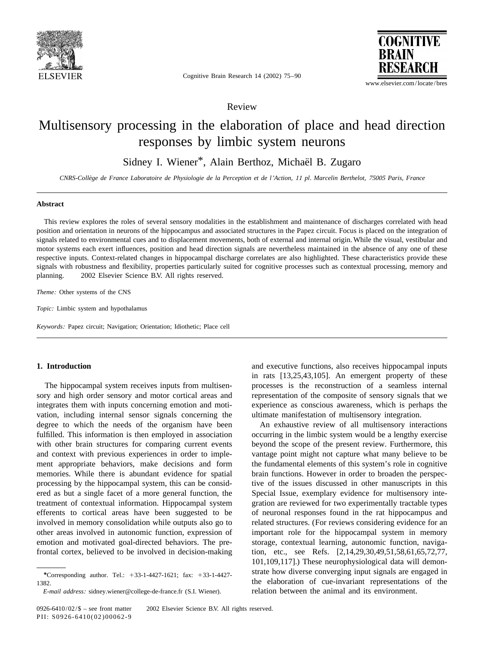

Cognitive Brain Research 14 (2002) 75–90



www.elsevier.com/locate/bres

Review

# Multisensory processing in the elaboration of place and head direction responses by limbic system neurons

Sidney I. Wiener\*, Alain Berthoz, Michaël B. Zugaro

*CNRS*-*College de France Laboratoire de Physiologie de la Perception et de l `* '*Action*, <sup>11</sup> *pl*. *Marcelin Berthelot*, <sup>75005</sup> *Paris*, *France*

### **Abstract**

This review explores the roles of several sensory modalities in the establishment and maintenance of discharges correlated with head position and orientation in neurons of the hippocampus and associated structures in the Papez circuit. Focus is placed on the integration of signals related to environmental cues and to displacement movements, both of external and internal origin. While the visual, vestibular and motor systems each exert influences, position and head direction signals are nevertheless maintained in the absence of any one of these respective inputs. Context-related changes in hippocampal discharge correlates are also highlighted. These characteristics provide these signals with robustness and flexibility, properties particularly suited for cognitive processes such as contextual processing, memory and planning.  $\circ$  2002 Elsevier Science B.V. All rights reserved.

*Theme*: Other systems of the CNS

*Topic*: Limbic system and hypothalamus

*Keywords*: Papez circuit; Navigation; Orientation; Idiothetic; Place cell

sory and high order sensory and motor cortical areas and representation of the composite of sensory signals that we integrates them with inputs concerning emotion and moti- experience as conscious awareness, which is perhaps the vation, including internal sensor signals concerning the ultimate manifestation of multisensory integration. degree to which the needs of the organism have been An exhaustive review of all multisensory interactions fulfilled. This information is then employed in association occurring in the limbic system would be a lengthy exercise with other brain structures for comparing current events beyond the scope of the present review. Furthermore, this and context with previous experiences in order to imple- vantage point might not capture what many believe to be ment appropriate behaviors, make decisions and form the fundamental elements of this system's role in cognitive memories. While there is abundant evidence for spatial brain functions. However in order to broaden the perspecprocessing by the hippocampal system, this can be consid- tive of the issues discussed in other manuscripts in this ered as but a single facet of a more general function, the Special Issue, exemplary evidence for multisensory intetreatment of contextual information. Hippocampal system gration are reviewed for two experimentally tractable types efferents to cortical areas have been suggested to be of neuronal responses found in the rat hippocampus and involved in memory consolidation while outputs also go to related structures. (For reviews considering evidence for an other areas involved in autonomic function, expression of important role for the hippocampal system in memory emotion and motivated goal-directed behaviors. The pre- storage, contextual learning, autonomic function, navigafrontal cortex, believed to be involved in decision-making tion, etc., see Refs. [2,14,29,30,49,51,58,61,65,72,77,

**1. Introduction** and executive functions, also receives hippocampal inputs in rats [13,25,43,105]. An emergent property of these The hippocampal system receives inputs from multisen- processes is the reconstruction of a seamless internal

101,109,117].) These neurophysiological data will demonstrate how diverse converging input signals are engaged in *\**Corresponding author. Tel.: <sup>1</sup>33-1-4427-1621; fax: <sup>1</sup>33-1-4427- 1382. the elaboration of cue-invariant representations of the *E*-*mail address*: sidney.wiener@college-de-france.fr (S.I. Wiener). relation between the animal and its environment.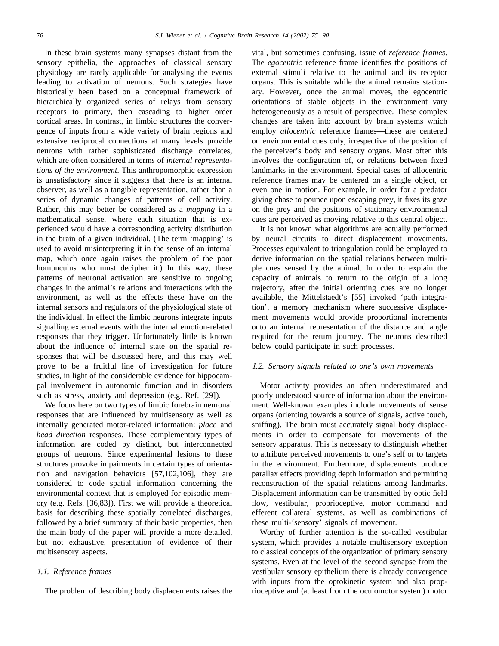In these brain systems many synapses distant from the vital, but sometimes confusing, issue of *reference frames*. sensory epithelia, the approaches of classical sensory The *egocentric* reference frame identifies the positions of physiology are rarely applicable for analysing the events external stimuli relative to the animal and its receptor leading to activation of neurons. Such strategies have organs. This is suitable while the animal remains stationhistorically been based on a conceptual framework of ary. However, once the animal moves, the egocentric hierarchically organized series of relays from sensory orientations of stable objects in the environment vary receptors to primary, then cascading to higher order heterogeneously as a result of perspective. These complex cortical areas. In contrast, in limbic structures the conver- changes are taken into account by brain systems which gence of inputs from a wide variety of brain regions and employ *allocentric* reference frames—these are centered extensive reciprocal connections at many levels provide on environmental cues only, irrespective of the position of neurons with rather sophisticated discharge correlates, the perceiver's body and sensory organs. Most often this which are often considered in terms of *internal representa*- involves the configuration of, or relations between fixed *tions of the environment*. This anthropomorphic expression landmarks in the environment. Special cases of allocentric is unsatisfactory since it suggests that there is an internal reference frames may be centered on a single object, or observer, as well as a tangible representation, rather than a even one in motion. For example, in order for a predator series of dynamic changes of patterns of cell activity. giving chase to pounce upon escaping prey, it fixes its gaze Rather, this may better be considered as a *mapping* in a on the prey and the positions of stationary environmental mathematical sense, where each situation that is ex- cues are perceived as moving relative to this central object. perienced would have a corresponding activity distribution It is not known what algorithms are actually performed in the brain of a given individual. (The term 'mapping' is by neural circuits to direct displacement movements. used to avoid misinterpreting it in the sense of an internal Processes equivalent to triangulation could be employed to map, which once again raises the problem of the poor derive information on the spatial relations between multihomunculus who must decipher it.) In this way, these ple cues sensed by the animal. In order to explain the patterns of neuronal activation are sensitive to ongoing capacity of animals to return to the origin of a long changes in the animal's relations and interactions with the trajectory, after the initial orienting cues are no longer environment, as well as the effects these have on the available, the Mittelstaedt's [55] invoked 'path integrainternal sensors and regulators of the physiological state of tion', a memory mechanism where successive displacethe individual. In effect the limbic neurons integrate inputs ment movements would provide proportional increments signalling external events with the internal emotion-related onto an internal representation of the distance and angle responses that they trigger. Unfortunately little is known required for the return journey. The neurons described about the influence of internal state on the spatial re- below could participate in such processes. sponses that will be discussed here, and this may well prove to be a fruitful line of investigation for future 1.2. *Sensory signals related to one*'*s own movements* studies, in light of the considerable evidence for hippocampal involvement in autonomic function and in disorders Motor activity provides an often underestimated and such as stress, anxiety and depression (e.g. Ref. [29]). poorly understood source of information about the environ-

responses that are influenced by multisensory as well as organs (orienting towards a source of signals, active touch, internally generated motor-related information: *place* and sniffing). The brain must accurately signal body displace*head direction* responses. These complementary types of ments in order to compensate for movements of the information are coded by distinct, but interconnected sensory apparatus. This is necessary to distinguish whether groups of neurons. Since experimental lesions to these to attribute perceived movements to one's self or to targets structures provoke impairments in certain types of orienta- in the environment. Furthermore, displacements produce tion and navigation behaviors [57,102,106], they are parallax effects providing depth information and permitting considered to code spatial information concerning the reconstruction of the spatial relations among landmarks. environmental context that is employed for episodic mem- Displacement information can be transmitted by optic field ory (e.g. Refs. [36,83]). First we will provide a theoretical flow, vestibular, proprioceptive, motor command and basis for describing these spatially correlated discharges, efferent collateral systems, as well as combinations of followed by a brief summary of their basic properties, then these multi-'sensory' signals of movement. the main body of the paper will provide a more detailed, Worthy of further attention is the so-called vestibular but not exhaustive, presentation of evidence of their system, which provides a notable multisensory exception multisensory aspects. to classical concepts of the organization of primary sensory

We focus here on two types of limbic forebrain neuronal ment. Well-known examples include movements of sense

systems. Even at the level of the second synapse from the 1.1. *Reference frames* vestibular sensory epithelium there is already convergence with inputs from the optokinetic system and also prop-The problem of describing body displacements raises the rioceptive and (at least from the oculomotor system) motor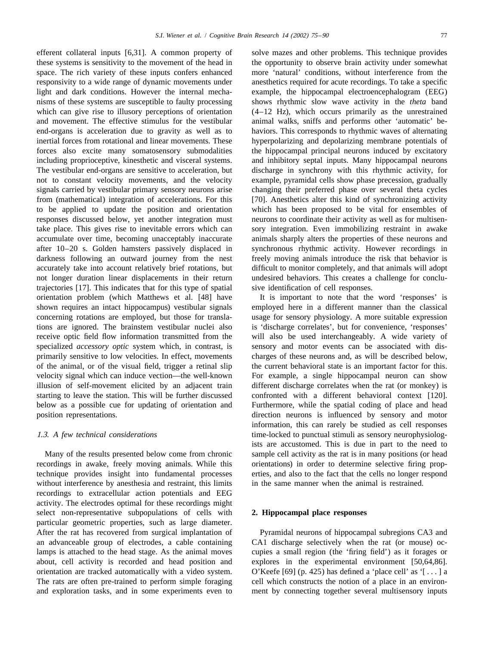efferent collateral inputs [6,31]. A common property of solve mazes and other problems. This technique provides these systems is sensitivity to the movement of the head in the opportunity to observe brain activity under somewhat space. The rich variety of these inputs confers enhanced more 'natural' conditions, without interference from the responsivity to a wide range of dynamic movements under anesthetics required for acute recordings. To take a specific light and dark conditions. However the internal mecha- example, the hippocampal electroencephalogram (EEG) nisms of these systems are susceptible to faulty processing shows rhythmic slow wave activity in the *theta* band which can give rise to illusory perceptions of orientation (4–12 Hz), which occurs primarily as the unrestrained and movement. The effective stimulus for the vestibular animal walks, sniffs and performs other 'automatic' beend-organs is acceleration due to gravity as well as to haviors. This corresponds to rhythmic waves of alternating inertial forces from rotational and linear movements. These hyperpolarizing and depolarizing membrane potentials of forces also excite many somatosensory submodalities the hippocampal principal neurons induced by excitatory including proprioceptive, kinesthetic and visceral systems. and inhibitory septal inputs. Many hippocampal neurons The vestibular end-organs are sensitive to acceleration, but discharge in synchrony with this rhythmic activity, for not to constant velocity movements, and the velocity example, pyramidal cells show phase precession, gradually signals carried by vestibular primary sensory neurons arise changing their preferred phase over several theta cycles from (mathematical) integration of accelerations. For this [70]. Anesthetics alter this kind of synchronizing activity to be applied to update the position and orientation which has been proposed to be vital for ensembles of responses discussed below, yet another integration must neurons to coordinate their activity as well as for multisentake place. This gives rise to inevitable errors which can sory integration. Even immobilizing restraint in awake accumulate over time, becoming unacceptably inaccurate animals sharply alters the properties of these neurons and after 10–20 s. Golden hamsters passively displaced in synchronous rhythmic activity. However recordings in darkness following an outward journey from the nest freely moving animals introduce the risk that behavior is accurately take into account relatively brief rotations, but difficult to monitor completely, and that animals will adopt not longer duration linear displacements in their return undesired behaviors. This creates a challenge for conclutrajectories [17]. This indicates that for this type of spatial sive identification of cell responses. orientation problem (which Matthews et al. [48] have It is important to note that the word 'responses' is shown requires an intact hippocampus) vestibular signals employed here in a different manner than the classical concerning rotations are employed, but those for transla- usage for sensory physiology. A more suitable expression tions are ignored. The brainstem vestibular nuclei also is 'discharge correlates', but for convenience, 'responses' receive optic field flow information transmitted from the will also be used interchangeably. A wide variety of specialized *accessory optic* system which, in contrast, is sensory and motor events can be associated with disprimarily sensitive to low velocities. In effect, movements charges of these neurons and, as will be described below, of the animal, or of the visual field, trigger a retinal slip the current behavioral state is an important factor for this. velocity signal which can induce vection—the well-known For example, a single hippocampal neuron can show illusion of self-movement elicited by an adjacent train different discharge correlates when the rat (or monkey) is starting to leave the station. This will be further discussed confronted with a different behavioral context [120]. below as a possible cue for updating of orientation and Furthermore, while the spatial coding of place and head

recordings in awake, freely moving animals. While this orientations) in order to determine selective firing proptechnique provides insight into fundamental processes erties, and also to the fact that the cells no longer respond without interference by anesthesia and restraint, this limits in the same manner when the animal is restrained. recordings to extracellular action potentials and EEG activity. The electrodes optimal for these recordings might select non-representative subpopulations of cells with **2. Hippocampal place responses** particular geometric properties, such as large diameter. After the rat has recovered from surgical implantation of Pyramidal neurons of hippocampal subregions CA3 and an advanceable group of electrodes, a cable containing CA1 discharge selectively when the rat (or mouse) oclamps is attached to the head stage. As the animal moves cupies a small region (the 'firing field') as it forages or about, cell activity is recorded and head position and explores in the experimental environment [50,64,86]. orientation are tracked automatically with a video system. O'Keefe [69] (p. 425) has defined a 'place cell' as '[...]a The rats are often pre-trained to perform simple foraging cell which constructs the notion of a place in an environand exploration tasks, and in some experiments even to ment by connecting together several multisensory inputs

position representations. direction neurons is influenced by sensory and motor information, this can rarely be studied as cell responses 1.3. *A few technical considerations* time-locked to punctual stimuli as sensory neurophysiologists are accustomed. This is due in part to the need to Many of the results presented below come from chronic sample cell activity as the rat is in many positions (or head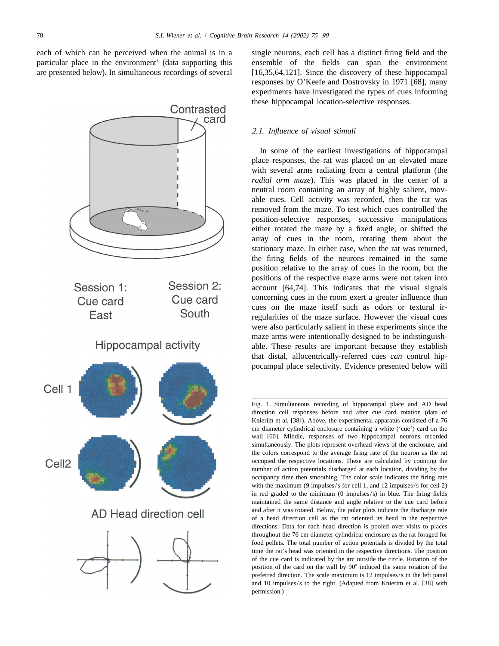each of which can be perceived when the animal is in a single neurons, each cell has a distinct firing field and the



particular place in the environment' (data supporting this ensemble of the fields can span the environment are presented below). In simultaneous recordings of several [16,35,64,121]. Since the discovery of these hippocampal responses by O'Keefe and Dostrovsky in 1971 [68], many experiments have investigated the types of cues informing these hippocampal location-selective responses.

## 2.1. *Influence of visual stimuli*

In some of the earliest investigations of hippocampal place responses, the rat was placed on an elevated maze with several arms radiating from a central platform (the *radial arm maze*). This was placed in the center of a neutral room containing an array of highly salient, movable cues. Cell activity was recorded, then the rat was removed from the maze. To test which cues controlled the position-selective responses, successive manipulations either rotated the maze by a fixed angle, or shifted the array of cues in the room, rotating them about the stationary maze. In either case, when the rat was returned, the firing fields of the neurons remained in the same position relative to the array of cues in the room, but the positions of the respective maze arms were not taken into account [64,74]. This indicates that the visual signals concerning cues in the room exert a greater influence than cues on the maze itself such as odors or textural irregularities of the maze surface. However the visual cues were also particularly salient in these experiments since the maze arms were intentionally designed to be indistinguishable. These results are important because they establish that distal, allocentrically-referred cues *can* control hippocampal place selectivity. Evidence presented below will

Fig. 1. Simultaneous recording of hippocampal place and AD head direction cell responses before and after cue card rotation (data of Knierim et al. [38]). Above, the experimental apparatus consisted of a 76 cm diameter cylindrical enclosure containing a white ('cue') card on the wall [60]. Middle, responses of two hippocampal neurons recorded simultaneously. The plots represent overhead views of the enclosure, and the colors correspond to the average firing rate of the neuron as the rat occupied the respective locations. These are calculated by counting the number of action potentials discharged at each location, dividing by the occupancy time then smoothing. The color scale indicates the firing rate with the maximum (9 impulses/s for cell 1, and 12 impulses/s for cell 2) in red graded to the minimum (0 impulses/s) in blue. The firing fields maintained the same distance and angle relative to the cue card before and after it was rotated. Below, the polar plots indicate the discharge rate of a head direction cell as the rat oriented its head in the respective directions. Data for each head direction is pooled over visits to places throughout the 76 cm diameter cylindrical enclosure as the rat foraged for food pellets. The total number of action potentials is divided by the total time the rat's head was oriented in the respective directions. The position of the cue card is indicated by the arc outside the circle. Rotation of the position of the card on the wall by 90° induced the same rotation of the preferred direction. The scale maximum is 12 impulses/s in the left panel and 10 impulses/s to the right. (Adapted from Knierim et al. [38] with permission.)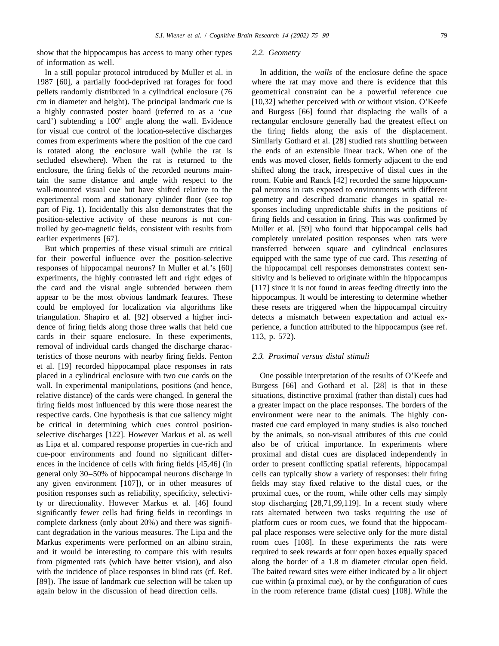show that the hippocampus has access to many other types 2.2. *Geometry* of information as well.

1987 [60], a partially food-deprived rat forages for food where the rat may move and there is evidence that this pellets randomly distributed in a cylindrical enclosure (76 geometrical constraint can be a powerful reference cue cm in diameter and height). The principal landmark cue is [10,32] whether perceived with or without vision. O'Keefe a highly contrasted poster board (referred to as a 'cue and Burgess [66] found that displacing the walls of a card') subtending a 100° angle along the wall. Evidence rectangular enclosure generally had the greatest effect on for visual cue control of the location-selective discharges the firing fields along the axis of the displacement. comes from experiments where the position of the cue card Similarly Gothard et al. [28] studied rats shuttling between is rotated along the enclosure wall (while the rat is the ends of an extensible linear track. When one of the secluded elsewhere). When the rat is returned to the ends was moved closer, fields formerly adjacent to the end enclosure, the firing fields of the recorded neurons main- shifted along the track, irrespective of distal cues in the tain the same distance and angle with respect to the room. Kubie and Ranck [42] recorded the same hippocamwall-mounted visual cue but have shifted relative to the pal neurons in rats exposed to environments with different experimental room and stationary cylinder floor (see top geometry and described dramatic changes in spatial repart of Fig. 1). Incidentally this also demonstrates that the sponses including unpredictable shifts in the positions of position-selective activity of these neurons is not con- firing fields and cessation in firing. This was confirmed by trolled by geo-magnetic fields, consistent with results from Muller et al. [59] who found that hippocampal cells had earlier experiments [67]. completely unrelated position responses when rats were

for their powerful influence over the position-selective equipped with the same type of cue card. This *resetting* of responses of hippocampal neurons? In Muller et al.'s [60] the hippocampal cell responses demonstrates context senexperiments, the highly contrasted left and right edges of sitivity and is believed to originate within the hippocampus the card and the visual angle subtended between them [117] since it is not found in areas feeding directly into the appear to be the most obvious landmark features. These hippocampus. It would be interesting to determine whether could be employed for localization via algorithms like these resets are triggered when the hippocampal circuitry triangulation. Shapiro et al. [92] observed a higher inci- detects a mismatch between expectation and actual exdence of firing fields along those three walls that held cue perience, a function attributed to the hippocampus (see ref. cards in their square enclosure. In these experiments, 113, p. 572). removal of individual cards changed the discharge characteristics of those neurons with nearby firing fields. Fenton 2.3. *Proximal versus distal stimuli* et al. [19] recorded hippocampal place responses in rats placed in a cylindrical enclosure with two cue cards on the One possible interpretation of the results of O'Keefe and wall. In experimental manipulations, positions (and hence, Burgess [66] and Gothard et al. [28] is that in these relative distance) of the cards were changed. In general the situations, distinctive proximal (rather than distal) cues had firing fields most influenced by this were those nearest the a greater impact on the place responses. The borders of the respective cards. One hypothesis is that cue saliency might environment were near to the animals. The highly conbe critical in determining which cues control position- trasted cue card employed in many studies is also touched selective discharges [122]. However Markus et al. as well by the animals, so non-visual attributes of this cue could as Lipa et al. compared response properties in cue-rich and also be of critical importance. In experiments where cue-poor environments and found no significant differ- proximal and distal cues are displaced independently in ences in the incidence of cells with firing fields [45,46] (in order to present conflicting spatial referents, hippocampal general only 30–50% of hippocampal neurons discharge in cells can typically show a variety of responses: their firing any given environment [107]), or in other measures of fields may stay fixed relative to the distal cues, or the position responses such as reliability, specificity, selectivi- proximal cues, or the room, while other cells may simply ty or directionality. However Markus et al. [46] found stop discharging [28,71,99,119]. In a recent study where significantly fewer cells had firing fields in recordings in rats alternated between two tasks requiring the use of complete darkness (only about 20%) and there was signifi-<br>platform cues or room cues, we found that the hippocamcant degradation in the various measures. The Lipa and the pal place responses were selective only for the more distal Markus experiments were performed on an albino strain, room cues [108]. In these experiments the rats were and it would be interesting to compare this with results required to seek rewards at four open boxes equally spaced from pigmented rats (which have better vision), and also along the border of a 1.8 m diameter circular open field. with the incidence of place responses in blind rats (cf. Ref. The baited reward sites were either indicated by a lit object [89]). The issue of landmark cue selection will be taken up cue within (a proximal cue), or by the configuration of cues again below in the discussion of head direction cells. in the room reference frame (distal cues) [108]. While the

In a still popular protocol introduced by Muller et al. in In addition, the *walls* of the enclosure define the space But which properties of these visual stimuli are critical transferred between square and cylindrical enclosures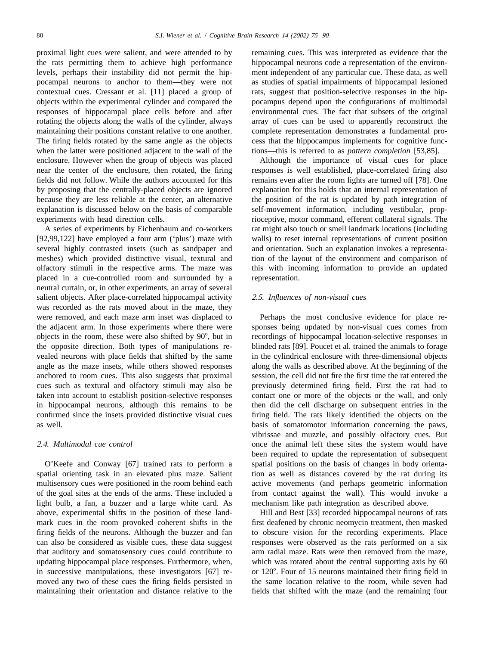the rats permitting them to achieve high performance hippocampal neurons code a representation of the environlevels, perhaps their instability did not permit the hip- ment independent of any particular cue. These data, as well pocampal neurons to anchor to them—they were not as studies of spatial impairments of hippocampal lesioned contextual cues. Cressant et al. [11] placed a group of rats, suggest that position-selective responses in the hipobjects within the experimental cylinder and compared the pocampus depend upon the configurations of multimodal responses of hippocampal place cells before and after environmental cues. The fact that subsets of the original rotating the objects along the walls of the cylinder, always array of cues can be used to apparently reconstruct the maintaining their positions constant relative to one another. complete representation demonstrates a fundamental pro-The firing fields rotated by the same angle as the objects cess that the hippocampus implements for cognitive funcwhen the latter were positioned adjacent to the wall of the tions—this is referred to as *pattern completion* [53,85]. enclosure. However when the group of objects was placed Although the importance of visual cues for place near the center of the enclosure, then rotated, the firing responses is well established, place-correlated firing also fields did not follow. While the authors accounted for this remains even after the room lights are turned off [78]. One by proposing that the centrally-placed objects are ignored explanation for this holds that an internal representation of because they are less reliable at the center, an alternative the position of the rat is updated by path integration of explanation is discussed below on the basis of comparable self-movement information, including vestibular, prop-

[92,99,122] have employed a four arm ('plus') maze with walls) to reset internal representations of current position several highly contrasted insets (such as sandpaper and and orientation. Such an explanation invokes a representameshes) which provided distinctive visual, textural and tion of the layout of the environment and comparison of olfactory stimuli in the respective arms. The maze was this with incoming information to provide an updated placed in a cue-controlled room and surrounded by a representation. neutral curtain, or, in other experiments, an array of several salient objects. After place-correlated hippocampal activity 2.5. *Influences of non*-*visual cues* was recorded as the rats moved about in the maze, they were removed, and each maze arm inset was displaced to Perhaps the most conclusive evidence for place rethe adjacent arm. In those experiments where there were sponses being updated by non-visual cues comes from objects in the room, these were also shifted by  $90^\circ$ , but in recordings of hippocampal location-selective responses in the opposite direction. Both types of manipulations re- blinded rats [89]. Poucet et al. trained the animals to forage vealed neurons with place fields that shifted by the same in the cylindrical enclosure with three-dimensional objects angle as the maze insets, while others showed responses along the walls as described above. At the beginning of the anchored to room cues. This also suggests that proximal session, the cell did not fire the first time the rat entered the cues such as textural and olfactory stimuli may also be previously determined firing field. First the rat had to taken into account to establish position-selective responses contact one or more of the objects or the wall, and only in hippocampal neurons, although this remains to be then did the cell discharge on subsequent entries in the confirmed since the insets provided distinctive visual cues firing field. The rats likely identified the objects on the as well. basis of somatomotor information concerning the paws,

spatial orienting task in an elevated plus maze. Salient tion as well as distances covered by the rat during its multisensory cues were positioned in the room behind each active movements (and perhaps geometric information of the goal sites at the ends of the arms. These included a from contact against the wall). This would invoke a light bulb, a fan, a buzzer and a large white card. As mechanism like path integration as described above. above, experimental shifts in the position of these land- Hill and Best [33] recorded hippocampal neurons of rats mark cues in the room provoked coherent shifts in the first deafened by chronic neomycin treatment, then masked firing fields of the neurons. Although the buzzer and fan to obscure vision for the recording experiments. Place can also be considered as visible cues, these data suggest responses were observed as the rats performed on a six that auditory and somatosensory cues could contribute to arm radial maze. Rats were then removed from the maze, updating hippocampal place responses. Furthermore, when, which was rotated about the central supporting axis by 60 in successive manipulations, these investigators  $[67]$  re- or  $120^\circ$ . Four of 15 neurons maintained their firing field in moved any two of these cues the firing fields persisted in the same location relative to the room, while seven had maintaining their orientation and distance relative to the fields that shifted with the maze (and the remaining four

proximal light cues were salient, and were attended to by remaining cues. This was interpreted as evidence that the

experiments with head direction cells. rioceptive, motor command, efferent collateral signals. The A series of experiments by Eichenbaum and co-workers rat might also touch or smell landmark locations (including

vibrissae and muzzle, and possibly olfactory cues. But 2.4. *Multimodal cue control* once the animal left these sites the system would have been required to update the representation of subsequent O'Keefe and Conway [67] trained rats to perform a spatial positions on the basis of changes in body orienta-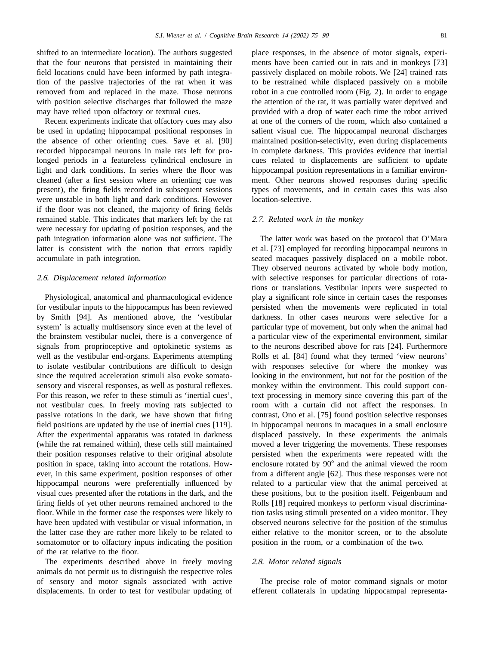be used in updating hippocampal positional responses in salient visual cue. The hippocampal neuronal discharges the absence of other orienting cues. Save et al. [90] maintained position-selectivity, even during displacements recorded hippocampal neurons in male rats left for pro- in complete darkness. This provides evidence that inertial longed periods in a featureless cylindrical enclosure in cues related to displacements are sufficient to update light and dark conditions. In series where the floor was hippocampal position representations in a familiar environcleaned (after a first session where an orienting cue was ment. Other neurons showed responses during specific present), the firing fields recorded in subsequent sessions types of movements, and in certain cases this was also were unstable in both light and dark conditions. However location-selective. if the floor was not cleaned, the majority of firing fields remained stable. This indicates that markers left by the rat 2.7. *Related work in the monkey* were necessary for updating of position responses, and the path integration information alone was not sufficient. The The latter work was based on the protocol that O'Mara latter is consistent with the notion that errors rapidly et al. [73] employed for recording hippocampal neurons in accumulate in path integration. seated macaques passively displaced on a mobile robot.

for vestibular inputs to the hippocampus has been reviewed persisted when the movements were replicated in total by Smith [94]. As mentioned above, the 'vestibular darkness. In other cases neurons were selective for a system' is actually multisensory since even at the level of particular type of movement, but only when the animal had the brainstem vestibular nuclei, there is a convergence of a particular view of the experimental environment, similar signals from proprioceptive and optokinetic systems as to the neurons described above for rats [24]. Furthermore well as the vestibular end-organs. Experiments attempting Rolls et al. [84] found what they termed 'view neurons' to isolate vestibular contributions are difficult to design with responses selective for where the monkey was since the required acceleration stimuli also evoke somato- looking in the environment, but not for the position of the sensory and visceral responses, as well as postural reflexes. monkey within the environment. This could support con-For this reason, we refer to these stimuli as 'inertial cues', text processing in memory since covering this part of the not vestibular cues. In freely moving rats subjected to room with a curtain did not affect the responses. In passive rotations in the dark, we have shown that firing contrast, Ono et al. [75] found position selective responses field positions are updated by the use of inertial cues [119]. in hippocampal neurons in macaques in a small enclosure After the experimental apparatus was rotated in darkness displaced passively. In these experiments the animals (while the rat remained within), these cells still maintained moved a lever triggering the movements. These responses their position responses relative to their original absolute persisted when the experiments were repeated with the position in space, taking into account the rotations. How- enclosure rotated by 90° and the animal viewed the room ever, in this same experiment, position responses of other from a different angle [62]. Thus these responses were not hippocampal neurons were preferentially influenced by related to a particular view that the animal perceived at visual cues presented after the rotations in the dark, and the these positions, but to the position itself. Feigenbaum and firing fields of yet other neurons remained anchored to the Rolls [18] required monkeys to perform visual discriminafloor. While in the former case the responses were likely to tion tasks using stimuli presented on a video monitor. They have been updated with vestibular or visual information, in observed neurons selective for the position of the stimulus the latter case they are rather more likely to be related to either relative to the monitor screen, or to the absolute somatomotor or to olfactory inputs indicating the position position in the room, or a combination of the two. of the rat relative to the floor.

The experiments described above in freely moving 2.8. *Motor related signals* animals do not permit us to distinguish the respective roles of sensory and motor signals associated with active The precise role of motor command signals or motor displacements. In order to test for vestibular updating of efferent collaterals in updating hippocampal representa-

shifted to an intermediate location). The authors suggested place responses, in the absence of motor signals, experithat the four neurons that persisted in maintaining their ments have been carried out in rats and in monkeys [73] field locations could have been informed by path integra- passively displaced on mobile robots. We [24] trained rats tion of the passive trajectories of the rat when it was to be restrained while displaced passively on a mobile removed from and replaced in the maze. Those neurons robot in a cue controlled room (Fig. 2). In order to engage with position selective discharges that followed the maze the attention of the rat, it was partially water deprived and may have relied upon olfactory or textural cues. provided with a drop of water each time the robot arrived Recent experiments indicate that olfactory cues may also at one of the corners of the room, which also contained a

They observed neurons activated by whole body motion, 2.6. *Displacement related information* with selective responses for particular directions of rotations or translations. Vestibular inputs were suspected to Physiological, anatomical and pharmacological evidence play a significant role since in certain cases the responses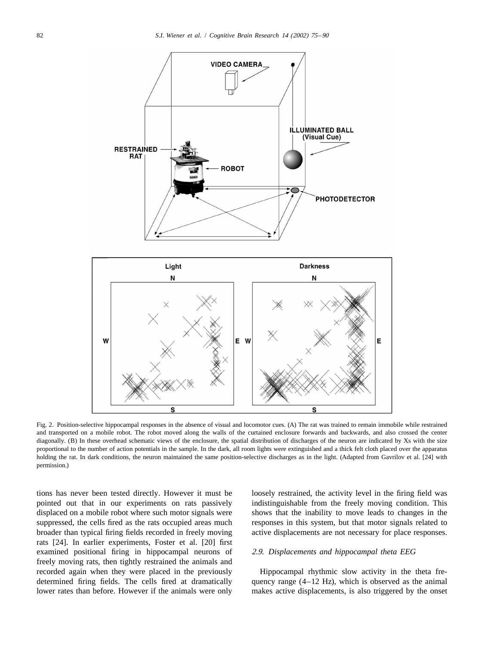

Fig. 2. Position-selective hippocampal responses in the absence of visual and locomotor cues. (A) The rat was trained to remain immobile while restrained and transported on a mobile robot. The robot moved along the walls of the curtained enclosure forwards and backwards, and also crossed the center diagonally. (B) In these overhead schematic views of the enclosure, the spatial distribution of discharges of the neuron are indicated by Xs with the size proportional to the number of action potentials in the sample. In the dark, all room lights were extinguished and a thick felt cloth placed over the apparatus holding the rat. In dark conditions, the neuron maintained the same position-selective discharges as in the light. (Adapted from Gavrilov et al. [24] with permission.)

tions has never been tested directly. However it must be loosely restrained, the activity level in the firing field was pointed out that in our experiments on rats passively indistinguishable from the freely moving condition. This displaced on a mobile robot where such motor signals were shows that the inability to move leads to changes in the suppressed, the cells fired as the rats occupied areas much responses in this system, but that motor signals related to broader than typical firing fields recorded in freely moving active displacements are not necessary for place responses. rats [24]. In earlier experiments, Foster et al. [20] first examined positional firing in hippocampal neurons of 2.9. *Displacements and hippocampal theta EEG* freely moving rats, then tightly restrained the animals and recorded again when they were placed in the previously Hippocampal rhythmic slow activity in the theta fredetermined firing fields. The cells fired at dramatically quency range  $(4-12 \text{ Hz})$ , which is observed as the animal lower rates than before. However if the animals were only makes active displacements, is also triggered by the onset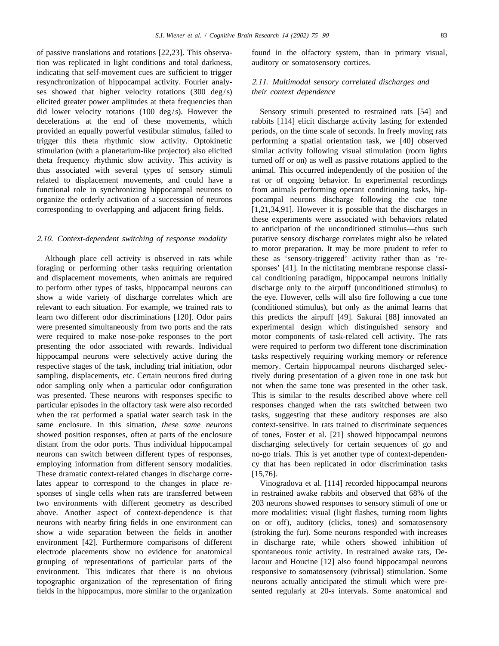of passive translations and rotations [22,23]. This observa- found in the olfactory system, than in primary visual, tion was replicated in light conditions and total darkness, auditory or somatosensory cortices. indicating that self-movement cues are sufficient to trigger resynchronization of hippocampal activity. Fourier analy- 2.11. *Multimodal sensory correlated discharges and* ses showed that higher velocity rotations (300 deg/s) *their context dependence* elicited greater power amplitudes at theta frequencies than did lower velocity rotations (100 deg/s). However the Sensory stimuli presented to restrained rats [54] and decelerations at the end of these movements, which rabbits [114] elicit discharge activity lasting for extended provided an equally powerful vestibular stimulus, failed to periods, on the time scale of seconds. In freely moving rats trigger this theta rhythmic slow activity. Optokinetic performing a spatial orientation task, we [40] observed stimulation (with a planetarium-like projector) also elicited similar activity following visual stimulation (room lights theta frequency rhythmic slow activity. This activity is turned off or on) as well as passive rotations applied to the thus associated with several types of sensory stimuli animal. This occurred independently of the position of the related to displacement movements, and could have a rat or of ongoing behavior. In experimental recordings functional role in synchronizing hippocampal neurons to from animals performing operant conditioning tasks, hiporganize the orderly activation of a succession of neurons pocampal neurons discharge following the cue tone

foraging or performing other tasks requiring orientation sponses' [41]. In the nictitating membrane response classiand displacement movements, when animals are required cal conditioning paradigm, hippocampal neurons initially to perform other types of tasks, hippocampal neurons can discharge only to the airpuff (unconditioned stimulus) to show a wide variety of discharge correlates which are the eye. However, cells will also fire following a cue tone relevant to each situation. For example, we trained rats to (conditioned stimulus), but only as the animal learns that learn two different odor discriminations [120]. Odor pairs this predicts the airpuff [49]. Sakurai [88] innovated an were presented simultaneously from two ports and the rats experimental design which distinguished sensory and were required to make nose-poke responses to the port motor components of task-related cell activity. The rats presenting the odor associated with rewards. Individual were required to perform two different tone discrimination hippocampal neurons were selectively active during the tasks respectively requiring working memory or reference respective stages of the task, including trial initiation, odor memory. Certain hippocampal neurons discharged selecsampling, displacements, etc. Certain neurons fired during tively during presentation of a given tone in one task but odor sampling only when a particular odor configuration not when the same tone was presented in the other task. was presented. These neurons with responses specific to This is similar to the results described above where cell particular episodes in the olfactory task were also recorded responses changed when the rats switched between two when the rat performed a spatial water search task in the tasks, suggesting that these auditory responses are also same enclosure. In this situation, *these same neurons* context-sensitive. In rats trained to discriminate sequences showed position responses, often at parts of the enclosure of tones, Foster et al. [21] showed hippocampal neurons distant from the odor ports. Thus individual hippocampal discharging selectively for certain sequences of go and neurons can switch between different types of responses, no-go trials. This is yet another type of context-dependenemploying information from different sensory modalities. cy that has been replicated in odor discrimination tasks These dramatic context-related changes in discharge corre- [15,76]. lates appear to correspond to the changes in place re- Vinogradova et al. [114] recorded hippocampal neurons sponses of single cells when rats are transferred between in restrained awake rabbits and observed that 68% of the two environments with different geometry as described 203 neurons showed responses to sensory stimuli of one or above. Another aspect of context-dependence is that more modalities: visual (light flashes, turning room lights neurons with nearby firing fields in one environment can on or off), auditory (clicks, tones) and somatosensory show a wide separation between the fields in another (stroking the fur). Some neurons responded with increases environment [42]. Furthermore comparisons of different in discharge rate, while others showed inhibition of electrode placements show no evidence for anatomical spontaneous tonic activity. In restrained awake rats, Degrouping of representations of particular parts of the lacour and Houcine [12] also found hippocampal neurons environment. This indicates that there is no obvious responsive to somatosensory (vibrissal) stimulation. Some topographic organization of the representation of firing neurons actually anticipated the stimuli which were prefields in the hippocampus, more similar to the organization sented regularly at 20-s intervals. Some anatomical and

corresponding to overlapping and adjacent firing fields. [1,21,34,91]. However it is possible that the discharges in these experiments were associated with behaviors related to anticipation of the unconditioned stimulus—thus such 2.10. *Context*-*dependent switching of response modality* putative sensory discharge correlates might also be related to motor preparation. It may be more prudent to refer to Although place cell activity is observed in rats while these as 'sensory-triggered' activity rather than as 're-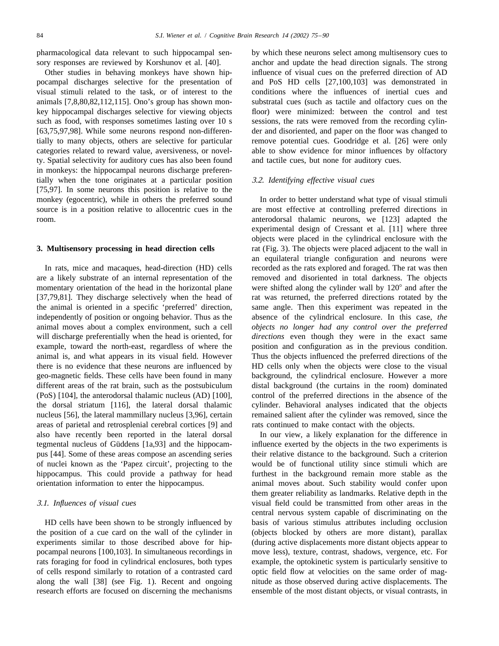pocampal discharges selective for the presentation of and PoS HD cells [27,100,103] was demonstrated in visual stimuli related to the task, or of interest to the conditions where the influences of inertial cues and animals [7,8,80,82,112,115]. Ono's group has shown mon- substratal cues (such as tactile and olfactory cues on the key hippocampal discharges selective for viewing objects floor) were minimized: between the control and test such as food, with responses sometimes lasting over 10 s sessions, the rats were removed from the recording cylin-[63,75,97,98]. While some neurons respond non-differen- der and disoriented, and paper on the floor was changed to tially to many objects, others are selective for particular remove potential cues. Goodridge et al. [26] were only categories related to reward value, aversiveness, or novel- able to show evidence for minor influences by olfactory ty. Spatial selectivity for auditory cues has also been found and tactile cues, but none for auditory cues. in monkeys: the hippocampal neurons discharge preferentially when the tone originates at a particular position 3.2. *Identifying effective visual cues* [75,97]. In some neurons this position is relative to the monkey (egocentric), while in others the preferred sound In order to better understand what type of visual stimuli source is in a position relative to allocentric cues in the are most effective at controlling preferred directions in

are a likely substrate of an internal representation of the removed and disoriented in total darkness. The objects momentary orientation of the head in the horizontal plane were shifted along the cylinder wall by  $120^{\circ}$  and after the [37,79,81]. They discharge selectively when the head of rat was returned, the preferred directions rotated by the the animal is oriented in a specific 'preferred' direction, same angle. Then this experiment was repeated in the independently of position or ongoing behavior. Thus as the absence of the cylindrical enclosure. In this case, *the* animal moves about a complex environment, such a cell *objects no longer had any control over the preferred* will discharge preferentially when the head is oriented, for *directions* even though they were in the exact same example, toward the north-east, regardless of where the position and configuration as in the previous condition. animal is, and what appears in its visual field. However Thus the objects influenced the preferred directions of the there is no evidence that these neurons are influenced by HD cells only when the objects were close to the visual geo-magnetic fields. These cells have been found in many background, the cylindrical enclosure. However a more different areas of the rat brain, such as the postsubiculum distal background (the curtains in the room) dominated (PoS) [104], the anterodorsal thalamic nucleus (AD) [100], control of the preferred directions in the absence of the the dorsal striatum [116], the lateral dorsal thalamic cylinder. Behavioral analyses indicated that the objects nucleus [56], the lateral mammillary nucleus [3,96], certain remained salient after the cylinder was removed, since the areas of parietal and retrosplenial cerebral cortices [9] and rats continued to make contact with the objects. also have recently been reported in the lateral dorsal In our view, a likely explanation for the difference in tegmental nucleus of Güddens [1a,93] and the hippocam- influence exerted by the objects in the two experiments is pus [44]. Some of these areas compose an ascending series their relative distance to the background. Such a criterion of nuclei known as the 'Papez circuit', projecting to the would be of functional utility since stimuli which are hippocampus. This could provide a pathway for head furthest in the background remain more stable as the orientation information to enter the hippocampus. animal moves about. Such stability would confer upon

the position of a cue card on the wall of the cylinder in (objects blocked by others are more distant), parallax experiments similar to those described above for hip- (during active displacements more distant objects appear to pocampal neurons [100,103]. In simultaneous recordings in move less), texture, contrast, shadows, vergence, etc. For rats foraging for food in cylindrical enclosures, both types example, the optokinetic system is particularly sensitive to of cells respond similarly to rotation of a contrasted card optic field flow at velocities on the same order of magalong the wall [38] (see Fig. 1). Recent and ongoing nitude as those observed during active displacements. The research efforts are focused on discerning the mechanisms ensemble of the most distant objects, or visual contrasts, in

pharmacological data relevant to such hippocampal sen- by which these neurons select among multisensory cues to sory responses are reviewed by Korshunov et al. [40]. <br>anchor and update the head direction signals. The strong Other studies in behaving monkeys have shown hip- influence of visual cues on the preferred direction of AD

room. anterodorsal thalamic neurons, we [123] adapted the experimental design of Cressant et al. [11] where three objects were placed in the cylindrical enclosure with the **3. Multisensory processing in head direction cells** rat (Fig. 3). The objects were placed adjacent to the wall in an equilateral triangle configuration and neurons were In rats, mice and macaques, head-direction (HD) cells recorded as the rats explored and foraged. The rat was then

them greater reliability as landmarks. Relative depth in the 3.1. *Influences of visual cues* visual field could be transmitted from other areas in the central nervous system capable of discriminating on the HD cells have been shown to be strongly influenced by basis of various stimulus attributes including occlusion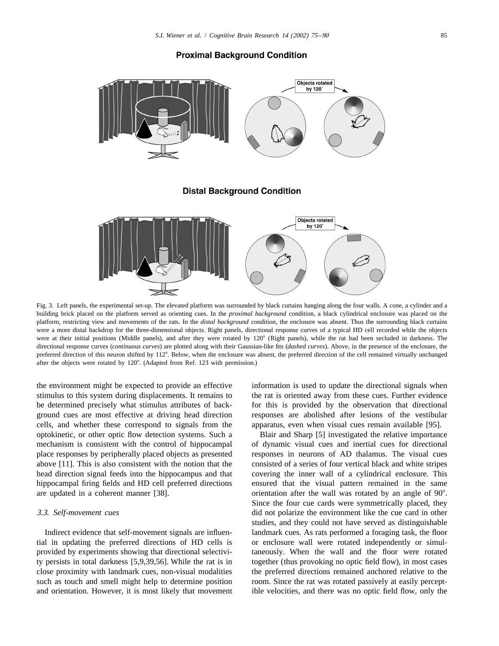### **Proximal Background Condition**



Fig. 3. Left panels, the experimental set-up. The elevated platform was surrounded by black curtains hanging along the four walls. A cone, a cylinder and a building brick placed on the platform served as orienting cues. In the *proximal background* condition, a black cylindrical enclosure was placed on the platform, restricting view and movements of the rats. In the *distal background* condition, the enclosure was absent. Thus the surrounding black curtains were a more distal backdrop for the three-dimensional objects. Right panels, directional response curves of a typical HD cell recorded while the objects were at their initial positions (Middle panels), and after they were rotated by  $120^{\circ}$  (Right panels), while the rat had been secluded in darkness. The directional response curves (*continuous curves*) are plotted along with their Gaussian-like fits (*dashed curves*). Above, in the presence of the enclosure, the preferred direction of this neuron shifted by 112°. Below, when the enclosure was absent, the preferred direction of the cell remained virtually unchanged after the objects were rotated by  $120^{\circ}$ . (Adapted from Ref. 123 with permission.)

stimulus to this system during displacements. It remains to the rat is oriented away from these cues. Further evidence be determined precisely what stimulus attributes of back- for this is provided by the observation that directional ground cues are most effective at driving head direction responses are abolished after lesions of the vestibular cells, and whether these correspond to signals from the apparatus, even when visual cues remain available [95]. optokinetic, or other optic flow detection systems. Such a Blair and Sharp [5] investigated the relative importance mechanism is consistent with the control of hippocampal of dynamic visual cues and inertial cues for directional place responses by peripherally placed objects as presented responses in neurons of AD thalamus. The visual cues above [11]. This is also consistent with the notion that the consisted of a series of four vertical black and white stripes head direction signal feeds into the hippocampus and that covering the inner wall of a cylindrical enclosure. This hippocampal firing fields and HD cell preferred directions ensured that the visual pattern remained in the same are updated in a coherent manner [38]. orientation after the wall was rotated by an angle of 90°.

tial in updating the preferred directions of HD cells is or enclosure wall were rotated independently or simulprovided by experiments showing that directional selectivi- taneously. When the wall and the floor were rotated ty persists in total darkness [5,9,39,56]. While the rat is in together (thus provoking no optic field flow), in most cases close proximity with landmark cues, non-visual modalities the preferred directions remained anchored relative to the such as touch and smell might help to determine position room. Since the rat was rotated passively at easily perceptand orientation. However, it is most likely that movement ible velocities, and there was no optic field flow, only the

the environment might be expected to provide an effective information is used to update the directional signals when

Since the four cue cards were symmetrically placed, they 3.3. *Self*-*movement cues* did not polarize the environment like the cue card in other studies, and they could not have served as distinguishable Indirect evidence that self-movement signals are influen- landmark cues. As rats performed a foraging task, the floor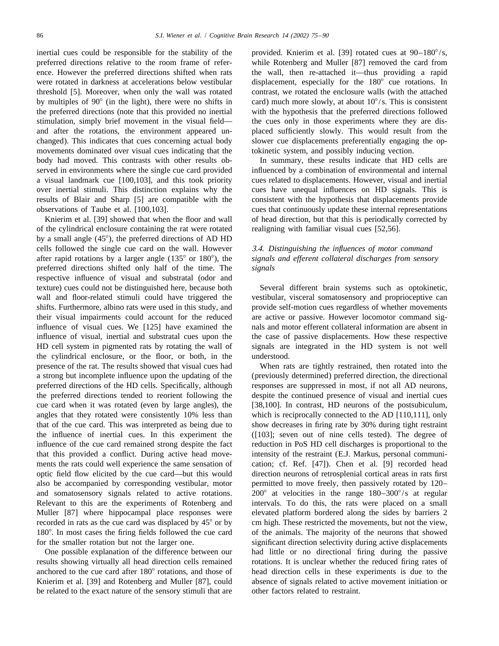inertial cues could be responsible for the stability of the provided. Knierim et al. [39] rotated cues at  $90-180^{\circ}/s$ , preferred directions relative to the room frame of refer- while Rotenberg and Muller [87] removed the card from ence. However the preferred directions shifted when rats the wall, then re-attached it—thus providing a rapid were rotated in darkness at accelerations below vestibular displacement, especially for the 180° cue rotations. In threshold [5]. Moreover, when only the wall was rotated contrast, we rotated the enclosure walls (with the attached by multiples of 90 $\degree$  (in the light), there were no shifts in card) much more slowly, at about 10 $\degree$ /s. This is consistent the preferred directions (note that this provided no inertial with the hypothesis that the preferred directions followed stimulation, simply brief movement in the visual field— the cues only in those experiments where they are disand after the rotations, the environment appeared un- placed sufficiently slowly. This would result from the changed). This indicates that cues concerning actual body slower cue displacements preferentially engaging the opmovements dominated over visual cues indicating that the tokinetic system, and possibly inducing vection. body had moved. This contrasts with other results ob-<br>In summary, these results indicate that HD cells are served in environments where the single cue card provided influenced by a combination of environmental and internal a visual landmark cue [100,103], and this took priority cues related to displacements. However, visual and inertial over inertial stimuli. This distinction explains why the cues have unequal influences on HD signals. This is results of Blair and Sharp [5] are compatible with the consistent with the hypothesis that displacements provide

of the cylindrical enclosure containing the rat were rotated realigning with familiar visual cues [52,56]. by a small angle  $(45^{\circ})$ , the preferred directions of AD HD cells followed the single cue card on the wall. However 3.4. *Distinguishing the influences of motor command* after rapid rotations by a larger angle (135° or 180°), the *signals and efferent collateral discharges from sensory* preferred directions shifted only half of the time. The *signals* respective influence of visual and substratal (odor and texture) cues could not be distinguished here, because both Several different brain systems such as optokinetic, wall and floor-related stimuli could have triggered the vestibular, visceral somatosensory and proprioceptive can shifts. Furthermore, albino rats were used in this study, and provide self-motion cues regardless of whether movements their visual impairments could account for the reduced are active or passive. However locomotor command siginfluence of visual cues. We [125] have examined the nals and motor efferent collateral information are absent in influence of visual, inertial and substratal cues upon the the case of passive displacements. How these respective HD cell system in pigmented rats by rotating the wall of signals are integrated in the HD system is not well the cylindrical enclosure, or the floor, or both, in the understood. presence of the rat. The results showed that visual cues had When rats are tightly restrained, then rotated into the a strong but incomplete influence upon the updating of the (previously determined) preferred direction, the directional preferred directions of the HD cells. Specifically, although responses are suppressed in most, if not all AD neurons, the preferred directions tended to reorient following the despite the continued presence of visual and inertial cues cue card when it was rotated (even by large angles), the [38,100]. In contrast, HD neurons of the postsubiculum, angles that they rotated were consistently 10% less than which is reciprocally connected to the AD [110,111], only that of the cue card. This was interpreted as being due to show decreases in firing rate by 30% during tight restraint the influence of inertial cues. In this experiment the ([103]; seven out of nine cells tested). The degree of influence of the cue card remained strong despite the fact reduction in PoS HD cell discharges is proportional to the that this provided a conflict. During active head move- intensity of the restraint (E.J. Markus, personal communiments the rats could well experience the same sensation of cation; cf. Ref. [47]). Chen et al. [9] recorded head optic field flow elicited by the cue card—but this would direction neurons of retrosplenial cortical areas in rats first also be accompanied by corresponding vestibular, motor permitted to move freely, then passively rotated by 120– and somatosensory signals related to active rotations.  $200^{\circ}$  at velocities in the range  $180-300^{\circ}/s$  at regular Relevant to this are the experiments of Rotenberg and intervals. To do this, the rats were placed on a small Muller [87] where hippocampal place responses were elevated platform bordered along the sides by barriers 2 recorded in rats as the cue card was displaced by  $45^{\circ}$  or by cm high. These restricted the movements, but not the view, 180°. In most cases the firing fields followed the cue card of the animals. The majority of the neurons that showed for the smaller rotation but not the larger one. significant direction selectivity during active displacements

be related to the exact nature of the sensory stimuli that are other factors related to restraint.

observations of Taube et al. [100,103]. cues that continuously update these internal representations Knierim et al. [39] showed that when the floor and wall of head direction, but that this is periodically corrected by

One possible explanation of the difference between our had little or no directional firing during the passive results showing virtually all head direction cells remained rotations. It is unclear whether the reduced firing rates of anchored to the cue card after 180° rotations, and those of head direction cells in these experiments is due to the Knierim et al. [39] and Rotenberg and Muller [87], could absence of signals related to active movement initiation or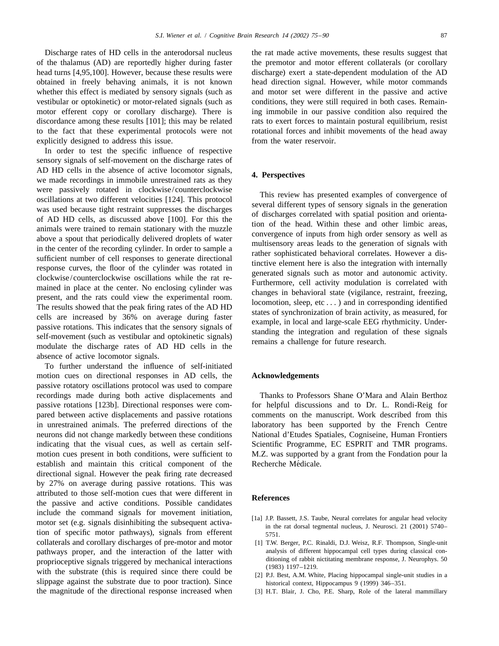Discharge rates of HD cells in the anterodorsal nucleus the rat made active movements, these results suggest that of the thalamus (AD) are reportedly higher during faster the premotor and motor efferent collaterals (or corollary head turns [4,95,100]. However, because these results were discharge) exert a state-dependent modulation of the AD obtained in freely behaving animals, it is not known head direction signal. However, while motor commands whether this effect is mediated by sensory signals (such as and motor set were different in the passive and active vestibular or optokinetic) or motor-related signals (such as conditions, they were still required in both cases. Remainmotor efferent copy or corollary discharge). There is ing immobile in our passive condition also required the discordance among these results [101]; this may be related rats to exert forces to maintain postural equilibrium, resist to the fact that these experimental protocols were not rotational forces and inhibit movements of the head away explicitly designed to address this issue. from the water reservoir.

In order to test the specific influence of respective sensory signals of self-movement on the discharge rates of AD HD cells in the absence of active locomotor signals, **4. Perspectives** we made recordings in immobile unrestrained rats as they were passively rotated in clockwise/counterclockwise<br>was used because tight restraint veloptiess (124). This protocol<br>oscillations at woo different types of serveral different types of serveral different types of serveral absence of active locomotor signals.

To further understand the influence of self-initiated motion cues on directional responses in AD cells, the **Acknowledgements** passive rotatory oscillations protocol was used to compare recordings made during both active displacements and Thanks to Professors Shane O'Mara and Alain Berthoz passive rotations [123b]. Directional responses were com- for helpful discussions and to Dr. L. Rondi-Reig for pared between active displacements and passive rotations comments on the manuscript. Work described from this in unrestrained animals. The preferred directions of the laboratory has been supported by the French Centre neurons did not change markedly between these conditions National d'Etudes Spatiales, Cogniseine, Human Frontiers indicating that the visual cues, as well as certain self- Scientific Programme, EC ESPRIT and TMR programs. motion cues present in both conditions, were sufficient to M.Z. was supported by a grant from the Fondation pour la establish and maintain this critical component of the Recherche Médicale. directional signal. However the peak firing rate decreased by 27% on average during passive rotations. This was attributed to those self-motion cues that were different in **References** the passive and active conditions. Possible candidates include the command signals for movement initiation,<br>motor set (e.g. signals disinhibiting the subsequent activa-<br>in the rat dorsal tegmental nucleus, J. Neurosci. 21 (2001) 5740tion of specific motor pathways), signals from efferent  $5751$ . collaterals and corollary discharges of pre-motor and motor [1] T.W. Berger, P.C. Rinaldi, D.J. Weisz, R.F. Thompson, Single-unit pathways proper, and the interaction of the latter with analysis of different hippocampal cell types during classical con-<br>
propriocentive signals triggered by mechanical interactions ditioning of rabbit nictitating membra proprioceptive signals triggered by mechanical interactions<br>with the substrate (this is required since there could be<br>[2] P.J. Best, A.M. White, Placing hippocampal single-unit studies in a slippage against the substrate due to poor traction). Since historical context, Hippocampus 9 (1999) 346–351. the magnitude of the directional response increased when [3] H.T. Blair, J. Cho, P.E. Sharp, Role of the lateral mammillary

- 
- 
- 
-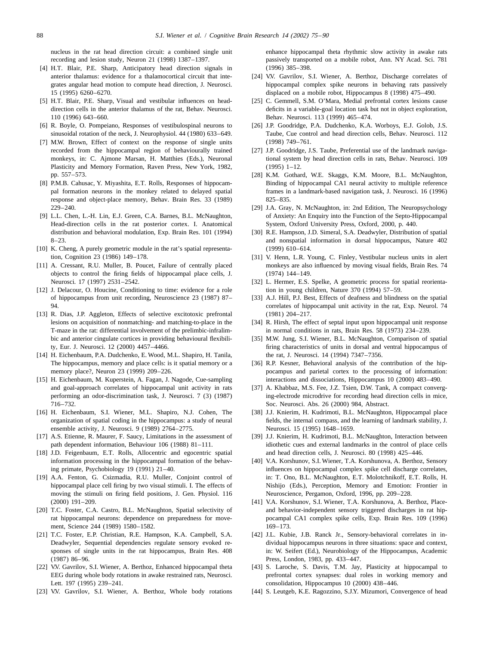- [4] H.T. Blair, P.E. Sharp, Anticipatory head direction signals in (1996) 385–398. anterior thalamus: evidence for a thalamocortical circuit that inte- [24] V.V. Gavrilov, S.I. Wiener, A. Berthoz, Discharge correlates of
- 110 (1996) 643–660. Behav. Neurosci. 113 (1999) 465–474.
- [6] R. Boyle, O. Pompeiano, Responses of vestibulospinal neurons to [26] J.P. Goodridge, P.A. Dudchenko, K.A. Worboys, E.J. Golob, J.S.
- [7] M.W. Brown, Effect of context on the response of single units (1998) 749–761. recorded from the hippocampal region of behaviourally trained [27] J.P. Goodridge, J.S. Taube, Preferential use of the landmark naviga-Plasticity and Memory Formation, Raven Press, New York, 1982, (1995) 1–12. pp. 557–573. [28] K.M. Gothard, W.E. Skaggs, K.M. Moore, B.L. McNaughton,
- response and object-place memory, Behav. Brain Res. 33 (1989) 825–835. 229–240. [29] J.A. Gray, N. McNaughton, in: 2nd Edition, The Neuropsychology
- Head-direction cells in the rat posterior cortex. I. Anatomical System, Oxford University Press, Oxford, 2000, p. 440. distribution and behavioral modulation, Exp. Brain Res. 101 (1994) [30] R.E. Hampson, J.D. Simeral, S.A. Deadwyler, Distribution of spatial
- [10] K. Cheng, A purely geometric module in the rat's spatial representa- (1999) 610–614. tion, Cognition 23 (1986) 149–178. [31] V. Henn, L.R. Young, C. Finley, Vestibular nucleus units in alert
- objects to control the firing fields of hippocampal place cells, J. (1974) 144–149. Neurosci. 17 (1997) 2531–2542. [32] L. Hermer, E.S. Spelke, A geometric process for spatial reorienta-
- [12] J. Delacour, O. Houcine, Conditioning to time: evidence for a role tion in young children, Nature 370 (1994) 57–59. of hippocampus from unit recording, Neuroscience 23 (1987) 87– [33] A.J. Hill, P.J. Best, Effects of deafness and blindness on the spatial
- [13] R. Dias, J.P. Aggleton, Effects of selective excitotoxic prefrontal (1981) 204–217. lesions on acquisition of nonmatching- and matching-to-place in the [34] R. Hirsh, The effect of septal input upon hippocampal unit response T-maze in the rat: differential involvement of the prelimbic-infralim- in normal conditions in rats, Brain Res. 58 (1973) 234–239. bic and anterior cingulate cortices in providing behavioural flexibili- [35] M.W. Jung, S.I. Wiener, B.L. McNaughton, Comparison of spatial
- [14] H. Eichenbaum, P.A. Dudchenko, E. Wood, M.L. Shapiro, H. Tanila, the rat, J. Neurosci. 14 (1994) 7347–7356. The hippocampus, memory and place cells: is it spatial memory or a [36] R.P. Kesner, Behavioral analysis of the contribution of the hip-
- and goal-approach correlates of hippocampal unit activity in rats [37] A. Khabbaz, M.S. Fee, J.Z. Tsien, D.W. Tank, A compact converg-716–732. Soc. Neurosci. Abs. 26 (2000) 984, Abstract.
- [16] H. Eichenbaum, S.I. Wiener, M.L. Shapiro, N.J. Cohen, The [38] J.J. Knierim, H. Kudrimoti, B.L. McNaughton, Hippocampal place ensemble activity, J. Neurosci. 9 (1989) 2764–2775. Neurosci. 15 (1995) 1648–1659.
- [17] A.S. Etienne, R. Maurer, F. Saucy, Limitations in the assessment of [39] J.J. Knierim, H. Kudrimoti, B.L. McNaughton, Interaction between
- information processing in the hippocampal formation of the behav- [40] V.A. Korshunov, S.I. Wiener, T.A. Korshunova, A. Berthoz, Sensory
- moving the stimuli on firing field positions, J. Gen. Physiol. 116 Neuroscience, Pergamon, Oxford, 1996, pp. 209-228. (2000) 191–209. [41] V.A. Korshunov, S.I. Wiener, T.A. Korshunova, A. Berthoz, Place-
- ment, Science 244 (1989) 1580–1582. 169–173.
- [21] T.C. Foster, E.P. Christian, R.E. Hampson, K.A. Campbell, S.A. [42] J.L. Kubie, J.B. Ranck Jr., Sensory-behavioral correlates in in-(1987) 86–96. Press, London, 1983, pp. 433–447.
- [22] V.V. Gavrilov, S.I. Wiener, A. Berthoz, Enhanced hippocampal theta [43] S. Laroche, S. Davis, T.M. Jay, Plasticity at hippocampal to Lett. 197 (1995) 239–241. consolidation, Hippocampus 10 (2000) 438–446.
- 

nucleus in the rat head direction circuit: a combined single unit enhance hippocampal theta rhythmic slow activity in awake rats recording and lesion study, Neuron 21 (1998) 1387–1397. passively transported on a mobile robot, Ann. NY Acad. Sci. 781

- grates angular head motion to compute head direction, J. Neurosci. hippocampal complex spike neurons in behaving rats passively 15 (1995) 6260–6270. displaced on a mobile robot, Hippocampus 8 (1998) 475–490.
- [5] H.T. Blair, P.E. Sharp, Visual and vestibular influences on head- [25] C. Gemmell, S.M. O'Mara, Medial prefrontal cortex lesions cause direction cells in the anterior thalamus of the rat, Behav. Neurosci. deficits in a variable-goal location task but not in object exploration,
	- sinusoidal rotation of the neck, J. Neurophysiol. 44 (1980) 633–649. Taube, Cue control and head direction cells, Behav. Neurosci. 112
	- monkeys, in: C. Ajmone Marsan, H. Matthies (Eds.), Neuronal tional system by head direction cells in rats, Behav. Neurosci. 109
- [8] P.M.B. Cahusac, Y. Miyashita, E.T. Rolls, Responses of hippocam- Binding of hippocampal CA1 neural activity to multiple reference pal formation neurons in the monkey related to delayed spatial frames in a landmark-based navigation task, J. Neurosci. 16 (1996)
- [9] L.L. Chen, L.-H. Lin, E.J. Green, C.A. Barnes, B.L. McNaughton, of Anxiety: An Enquiry into the Function of the Septo-Hippocampal
	- 8–23. and nonspatial information in dorsal hippocampus, Nature 402
- [11] A. Cressant, R.U. Muller, B. Poucet, Failure of centrally placed monkeys are also influenced by moving visual fields, Brain Res. 74
	-
	- 94. correlates of hippocampal unit activity in the rat, Exp. Neurol. 74
		-
	- ty, Eur. J. Neurosci. 12 (2000) 4457–4466. firing characteristics of units in dorsal and ventral hippocampus of
- memory place?, Neuron 23 (1999) 209-226. pocampus and parietal cortex to the processing of information: [15] H. Eichenbaum, M. Kuperstein, A. Fagan, J. Nagode, Cue-sampling interactions and dissociations, Hippocampus 10 (2000) 483–490.
	- performing an odor-discrimination task, J. Neurosci. 7 (3) (1987) ing-electrode microdrive for recording head direction cells in mice,
	- organization of spatial coding in the hippocampus: a study of neural fields, the internal compass, and the learning of landmark stability, J.
- path dependent information, Behaviour 106 (1988) 81-111. idiothetic cues and external landmarks in the control of place cells [18] J.D. Feigenbaum, E.T. Rolls, Allocentric and egocentric spatial and head direction cells, J. Neurosci. 80 (1998) 425–446.
- ing primate, Psychobiology 19 (1991) 21–40. influences on hippocampal complex spike cell discharge correlates, [19] A.A. Fenton, G. Csizmadia, R.U. Muller, Conjoint control of in: T. Ono, B.L. McNaughton, E.T. Molotchnikoff, E.T. Rolls, H. hippocampal place cell firing by two visual stimuli. I. The effects of Nishijo (Eds.), Perception, Memory and Emotion: Frontier in
- [20] T.C. Foster, C.A. Castro, B.L. McNaughton, Spatial selectivity of and behavior-independent sensory triggered discharges in rat hiprat hippocampal neurons: dependence on preparedness for move- pocampal CA1 complex spike cells, Exp. Brain Res. 109 (1996)
	- Deadwyler, Sequential dependencies regulate sensory evoked re- dividual hippocampus neurons in three situations: space and context, sponses of single units in the rat hippocampus, Brain Res. 408 in: W. Seifert (Ed.), Neurobiology of the Hippocampus, Academic
	- EEG during whole body rotations in awake restrained rats, Neurosci. prefrontal cortex synapses: dual roles in working memory and
- [23] V.V. Gavrilov, S.I. Wiener, A. Berthoz, Whole body rotations [44] S. Leutgeb, K.E. Ragozzino, S.J.Y. Mizumori, Convergence of head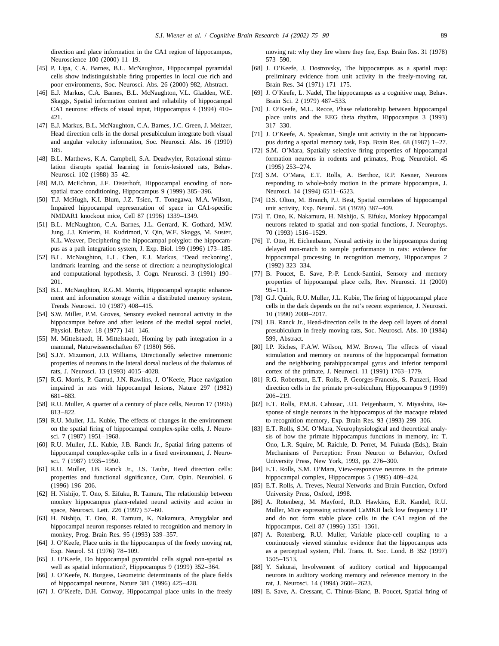Neuroscience 100 (2000) 11–19. 573–590.

- [45] P. Lipa, C.A. Barnes, B.L. McNaughton, Hippocampal pyramidal [68] J. O'Keefe, J. Dostrovsky, The hippocampus as a spatial map: poor environments, Soc. Neurosci. Abs. 26 (2000) 982, Abstract. Brain Res. 34 (1971) 171–175.
- [46] E.J. Markus, C.A. Barnes, B.L. McNaughton, V.L. Gladden, W.E. [69] J. O'Keefe, L. Nadel, The hippocampus as a cognitive map, Behav. Skaggs, Spatial information content and reliability of hippocampal Brain Sci. 2 (1979) 487–533. CA1 neurons: effects of visual input, Hippocampus 4 (1994) 410– [70] J. O'Keefe, M.L. Recce, Phase relationship between hippocampal
- [47] E.J. Markus, B.L. McNaughton, C.A. Barnes, J.C. Green, J. Meltzer, 317–330. Head direction cells in the dorsal presubiculum integrate both visual [71] J. O'Keefe, A. Speakman, Single unit activity in the rat hippocam-185. [72] S.M. O'Mara, Spatially selective firing properties of hippocampal
- lation disrupts spatial learning in fornix-lesioned rats, Behav. (1995) 253–274. Neurosci. 102 (1988) 35–42. [73] S.M. O'Mara, E.T. Rolls, A. Berthoz, R.P. Kesner, Neurons
- spatial trace conditioning, Hippocampus 9 (1999) 385–396. Neurosci. 14 (1994) 6511–6523.
- [50] T.J. McHugh, K.I. Blum, J.Z. Tsien, T. Tonegawa, M.A. Wilson, [74] D.S. Olton, M. Branch, P.J. Best, Spatial correlates of hippocampal Impaired hippocampal representation of space in CA1-specific unit activity, Exp. Neurol. 58 (1978) 387–409. NMDAR1 knockout mice, Cell 87 (1996) 1339–1349. [75] T. Ono, K. Nakamura, H. Nishijo, S. Eifuku, Monkey hippocampal
- Jung, J.J. Knierim, H. Kudrimoti, Y. Qin, W.E. Skaggs, M. Suster, 70 (1993) 1516–1529. K.L. Weaver, Deciphering the hippocampal polyglot: the hippocam- [76] T. Otto, H. Eichenbaum, Neural activity in the hippocampus during
- landmark learning, and the sense of direction: a neurophysiological (1992) 323–334. and computational hypothesis, J. Cogn. Neurosci. 3 (1991) 190– [77] B. Poucet, E. Save, P.-P. Lenck-Santini, Sensory and memory
- [53] B.L. McNaughton, R.G.M. Morris, Hippocampal synaptic enhance- 95–111. ment and information storage within a distributed memory system, [78] G.J. Quirk, R.U. Muller, J.L. Kubie, The firing of hippocampal place
- [54] S.W. Miller, P.M. Groves, Sensory evoked neuronal activity in the 10 (1990) 2008–2017. hippocampus before and after lesions of the medial septal nuclei, [79] J.B. Ranck Jr., Head-direction cells in the deep cell layers of dorsal
- [55] M. Mittelstaedt, H. Mittelstaedt, Homing by path integration in a 599, Abstract. mammal, Naturwissenschaften 67 (1980) 566. [80] I.P. Riches, F.A.W. Wilson, M.W. Brown, The effects of visual
- rats, J. Neurosci. 13 (1993) 4015–4028. cortex of the primate, J. Neurosci. 11 (1991) 1763–1779.
- 681–683. 206–219.
- [58] R.U. Muller, A quarter of a century of place cells, Neuron 17 (1996) [82] E.T. Rolls, P.M.B. Cahusac, J.D. Feigenbaum, Y. Miyashita, Re-
- 
- sci. 7 (1987) 1935–1950. University Press, New York, 1993, pp. 276–300.
- properties and functional significance, Curr. Opin. Neurobiol. 6 hippocampal complex, Hippocampus 5 (1995) 409–424. (1996) 196–206. [85] E.T. Rolls, A. Treves, Neural Networks and Brain Function, Oxford
- [62] H. Nishijo, T. Ono, S. Eifuku, R. Tamura, The relationship between University Press, Oxford, 1998. monkey hippocampus place-related neural activity and action in [86] A. Rotenberg, M. Mayford, R.D. Hawkins, E.R. Kandel, R.U.
- hippocampal neuron responses related to recognition and memory in hippocampus, Cell 87 (1996) 1351–1361. monkey, Prog. Brain Res. 95 (1993) 339–357. [87] A. Rotenberg, R.U. Muller, Variable place-cell coupling to a
- 
- [65] J. O'Keefe, Do hippocampal pyramidal cells signal non-spatial as 1505–1513.
- of hippocampal neurons, Nature 381 (1996) 425–428. rat, J. Neurosci. 14 (1994) 2606–2623.
- 

direction and place information in the CA1 region of hippocampus, moving rat: why they fire where they fire, Exp. Brain Res. 31 (1978)

- cells show indistinguishable firing properties in local cue rich and preliminary evidence from unit activity in the freely-moving rat,
	-
- 421. place units and the EEG theta rhythm, Hippocampus 3 (1993)
- and angular velocity information, Soc. Neurosci. Abs. 16 (1990) pus during a spatial memory task, Exp. Brain Res. 68 (1987) 1–27.
- [48] B.L. Matthews, K.A. Campbell, S.A. Deadwyler, Rotational stimu- formation neurons in rodents and primates, Prog. Neurobiol. 45
- [49] M.D. McEchron, J.F. Disterhoft, Hippocampal encoding of non- responding to whole-body motion in the primate hippocampus, J.
	-
- [51] B.L. McNaughton, C.A. Barnes, J.L. Gerrard, K. Gothard, M.W. neurons related to spatial and non-spatial functions, J. Neurophys.
- pus as a path integration system, J. Exp. Biol. 199 (1996) 173–185. delayed non-match to sample performance in rats: evidence for [52] B.L. McNaughton, L.L. Chen, E.J. Markus, 'Dead reckoning', hippocampal processing in recognition memory, Hippocampus 2
	- 201. properties of hippocampal place cells, Rev. Neurosci. 11 (2000)
	- Trends Neurosci. 10 (1987) 408–415. cells in the dark depends on the rat's recent experience, J. Neurosci.
	- Physiol. Behav. 18 (1977) 141–146. presubiculum in freely moving rats, Soc. Neurosci. Abs. 10 (1984)
- [56] S.J.Y. Mizumori, J.D. Williams, Directionally selective mnemonic stimulation and memory on neurons of the hippocampal formation properties of neurons in the lateral dorsal nucleus of the thalamus of and the neighboring parahippocampal gyrus and inferior temporal
- [57] R.G. Morris, P. Garrud, J.N. Rawlins, J. O'Keefe, Place navigation [81] R.G. Robertson, E.T. Rolls, P. Georges-Francois, S. Panzeri, Head impaired in rats with hippocampal lesions, Nature 297 (1982) direction cells in the primate pre-subiculum, Hippocampus 9 (1999)
- 813–822. sponse of single neurons in the hippocampus of the macaque related [59] R.U. Muller, J.L. Kubie, The effects of changes in the environment to recognition memory, Exp. Brain Res. 93 (1993) 299–306.
- on the spatial firing of hippocampal complex-spike cells, J. Neuro- [83] E.T. Rolls, S.M. O'Mara, Neurophysiological and theoretical analysci. 7 (1987) 1951–1968. Sis of how the primate hippocampus functions in memory, in: T. [60] R.U. Muller, J.L. Kubie, J.B. Ranck Jr., Spatial firing patterns of Ono, L.R. Squire, M. Raichle, D. Perret, M. Fukuda (Eds.), Brain hippocampal complex-spike cells in a fixed environment, J. Neuro- Mechanisms of Perception: From Neuron to Behavior, Oxford
- [61] R.U. Muller, J.B. Ranck Jr., J.S. Taube, Head direction cells: [84] E.T. Rolls, S.M. O'Mara, View-responsive neurons in the primate
	-
- space, Neurosci. Lett. 226 (1997) 57–60. Muller, Mice expressing activated CaMKII lack low frequency LTP [63] H. Nishijo, T. Ono, R. Tamura, K. Nakamura, Amygdalar and and do not form stable place cells in the CA1 region of the
- [64] J. O'Keefe, Place units in the hippocampus of the freely moving rat, continuously viewed stimulus: evidence that the hippocampus acts Exp. Neurol. 51 (1976) 78–109. as a perceptual system, Phil. Trans. R. Soc. Lond. B 352 (1997)
- well as spatial information?, Hippocampus 9 (1999) 352–364. [88] Y. Sakurai, Involvement of auditory cortical and hippocampal [66] J. O'Keefe, N. Burgess, Geometric determinants of the place fields neurons in auditory working memory and reference memory in the
- [67] J. O'Keefe, D.H. Conway, Hippocampal place units in the freely [89] E. Save, A. Cressant, C. Thinus-Blanc, B. Poucet, Spatial firing of